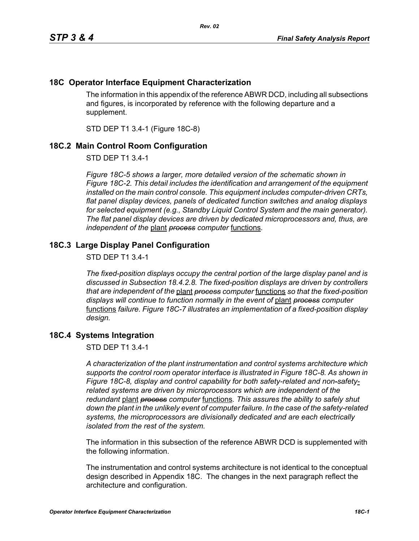## **18C Operator Interface Equipment Characterization**

The information in this appendix of the reference ABWR DCD, including all subsections and figures, is incorporated by reference with the following departure and a supplement.

STD DEP T1 3.4-1 (Figure 18C-8)

## **18C.2 Main Control Room Configuration**

STD DEP T1 3.4-1

*Figure 18C-5 shows a larger, more detailed version of the schematic shown in Figure 18C-2. This detail includes the identification and arrangement of the equipment installed on the main control console. This equipment includes computer-driven CRTs, flat panel display devices, panels of dedicated function switches and analog displays*  for selected equipment (e.g., Standby Liquid Control System and the main generator). *The flat panel display devices are driven by dedicated microprocessors and, thus, are independent of the* plant *process computer* functions*.*

## **18C.3 Large Display Panel Configuration**

STD DEP T1 3.4-1

*The fixed-position displays occupy the central portion of the large display panel and is discussed in Subsection 18.4.2.8. The fixed-position displays are driven by controllers that are independent of the* plant *process computer* functions *so that the fixed-position displays will continue to function normally in the event of* plant *process computer*  functions *failure. Figure 18C-7 illustrates an implementation of a fixed-position display design.*

## **18C.4 Systems Integration**

STD DEP T1 3.4-1

*A characterization of the plant instrumentation and control systems architecture which supports the control room operator interface is illustrated in Figure 18C-8. As shown in Figure 18C-8, display and control capability for both safety-related and non-safetyrelated systems are driven by microprocessors which are independent of the redundant* plant *process computer* functions*. This assures the ability to safely shut down the plant in the unlikely event of computer failure. In the case of the safety-related systems, the microprocessors are divisionally dedicated and are each electrically isolated from the rest of the system.*

The information in this subsection of the reference ABWR DCD is supplemented with the following information.

The instrumentation and control systems architecture is not identical to the conceptual design described in Appendix 18C. The changes in the next paragraph reflect the architecture and configuration.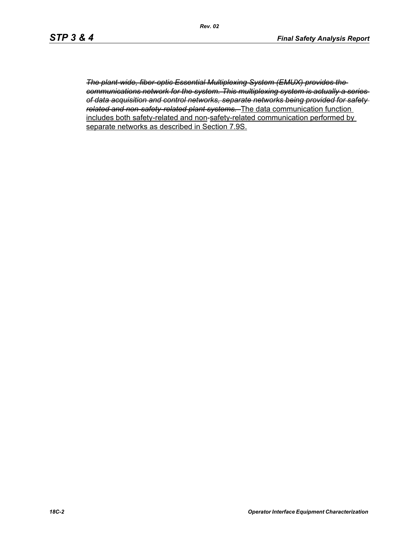*The plant-wide, fiber-optic Essential Multiplexing System (EMUX) provides the communications network for the system. This multiplexing system is actually a series of data acquisition and control networks, separate networks being provided for safety related and non-safety-related plant systems.* The data communication function includes both safety-related and non-safety-related communication performed by separate networks as described in Section 7.9S.